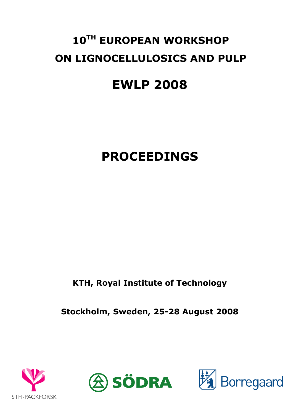# **10TH EUROPEAN WORKSHOP ON LIGNOCELLULOSICS AND PULP**

### **EWLP 2008**

## **PROCEEDINGS**

**KTH, Royal Institute of Technology**

**Stockholm, Sweden, 25-28 August 2008**





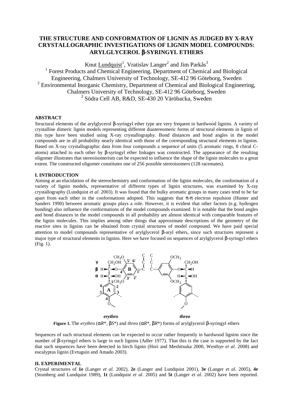### **THE STRUCTURE AND CONFORMATION OF LIGNIN AS JUDGED BY X-RAY CRYSTALLOGRAPHIC INVESTIGATIONS OF LIGNIN MODEL COMPOUNDS: ARYLGLYCEROL** β**-SYRINGYL ETHERS**

Knut Lundquist<sup>1</sup>, Vratislav Langer<sup>2</sup> and Jim Parkås<sup>3</sup> <sup>1</sup> Forest Products and Chemical Engineering, Department of Chemical and Biological Engineering, Chalmers University of Technology, SE-412 96 Göteborg, Sweden <sup>2</sup> Environmental Inorganic Chemistry, Department of Chemical and Biological Engineering, Chalmers University of Technology, SE-412 96 Göteborg, Sweden 3 Södra Cell AB, R&D, SE-430 20 Väröbacka, Sweden

#### **ABSTRACT**

Structural elements of the arylglycerol β-syringyl ether type are very frequent in hardwood lignins. A variety of crystalline dimeric lignin models representing different diastereomeric forms of structural elements in lignin of this type have been studied using X-ray crystallography. Bond distances and bond angles in the model compounds are in all probability nearly identical with those of the corresponding structural elements in lignins. Based on X-ray crystallographic data from four compounds a sequence of units (5 aromatic rings, 8 chiral Catoms) attached to each other by β-syringyl ether linkages was constructed. The appearance of the resulting oligomer illustrates that stereoisomerism can be expected to influence the shape of the lignin molecules to a great extent. The constructed oligomer constitutes one of 256 possible stereoisomers (128 racemates).

#### **I. INTRODUCTION**

Aiming at an elucidation of the stereochemistry and conformation of the lignin molecules, the conformation of a variety of lignin models, representative of different types of lignin structures, was examined by X-ray crystallography (Lundquist *et al*. 2003). It was found that the bulky aromatic groups in many cases tend to be far apart from each other in the conformations adopted. This suggests that  $\pi$ - $\pi$  electron repulsion (Hunter and Sanders 1990) between aromatic groups plays a role. However, it is evident that other factors (e.g. hydrogen bonding) also influence the conformations of the model compounds examined. It is notable that the bond angles and bond distances in the model compounds in all probability are almost identical with comparable features of the lignin molecules. This implies among other things that approximate descriptions of the geometry of the reactive sites in lignins can be obtained from crystal structures of model compound. We have paid special attention to model compounds representative of arylglycerol β-aryl ethers, since such structures represent a major type of structural elements in lignins. Here we have focused on sequences of arylglycerol β-syringyl ethers (Fig. 1).



**Figure 1.** The *erythro* (α*R*\*, β*S*\*) and *threo* (α*R*\*, β*R*\*) forms of arylglycerol β-syringyl ethers

Sequences of such structural elements can be expected to occur rather frequently in hardwood lignins since the number of β-syringyl ethers is large in such lignins (Adler 1977). That this is the case is supported by the fact that such sequences have been detected in birch lignin (Hori and Meshitsuka 2000, Westbye *et al*. 2008) and eucalyptus lignin (Evtuguin and Amado 2003).

#### **II. EXPERIMENTAL**

Crystal structures of **1e** (Langer *et al*. 2002), **2e** (Langer and Lundquist 2001), **3e** (Langer *et al*. 2005), **4e** (Stomberg and Lundquist 1989), **1t** (Lundquist *et al*. 2005) and **5t** (Langer *et al*. 2002) have been reported.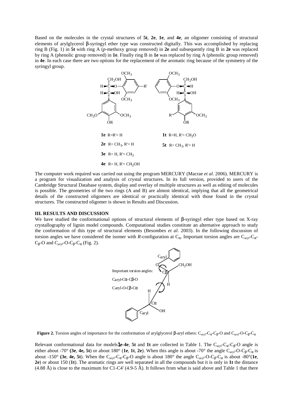Based on the molecules in the crystal structures of **5t**, **2e**, **1e**, and **4e**, an oligomer consisting of structural elements of arylglycerol β-syringyl ether type was constructed digitally. This was accomplished by replacing ring B (Fig. 1) in **5t** with ring A (*p*-methoxy group removed) in **2e** and subsequently ring B in **2e** was replaced by ring A (phenolic group removed) in **1e**. Finally ring B in **1e** was replaced by ring A (phenolic group removed) in **4e**. In each case there are two options for the replacement of the aromatic ring because of the symmetry of the syringyl group.



The computer work required was carried out using the program MERCURY (Macrae *et al*. 2006). MERCURY is a program for visualization and analysis of crystal structures. In its full version, provided to users of the Cambridge Structural Database system, display and overlay of multiple structures as well as editing of molecules is possible. The geometries of the two rings (A and B) are almost identical, implying that all the geometrical details of the constructed oligomers are identical or practically identical with those found in the crystal structures. The constructed oligomer is shown in Results and Discussion.

#### **III. RESULTS AND DISCUSSION**

We have studied the conformational options of structural elements of β-syringyl ether type based on X-ray crystallography of lignin model compounds. Computational studies constitute an alternative approach to study the conformation of this type of structural elements (Besombes *et al*. 2003). In the following discussion of torsion angles we have considered the isomer with *R*-configuration at  $C_{\alpha}$ . Important torsion angles are  $C_{\alpha v}$ <sup>-</sup> $C_{\alpha}$ <sup>-</sup> C<sub>β</sub>-O and C<sub>aryl</sub>-O-C<sub>β</sub>-C<sub>α</sub> (Fig. 2).



**Figure 2.** Torsion angles of importance for the conformation of arylglycerol β-aryl ethers: C<sub>aryl</sub>-C<sub>α</sub>-C<sub>β</sub>-O and C<sub>aryl</sub>-O-C<sub>β</sub>-C<sub>α</sub>

Relevant conformational data for models1**e**-**4e**, **5t** and **1t** are collected in Table 1. The Caryl-Cα-Cβ-O angle is either about -70° **(3e, 4e, 5t)** or about 180° **(1e, 1t, 2e)**. When this angle is about -70° the angle C<sub>aryl</sub>-O-C<sub>β</sub>-C<sub>α</sub> is about -150° **(3e, 4e, 5t)**. When the C<sub>aryl</sub>-C<sub>α</sub>-C<sub>β</sub>-O angle is about 180° the angle C<sub>aryl</sub>-O-C<sub>β</sub>-C<sub>α</sub> is about -80°**(1e**, **2e**) or about 150 (**1t**). The aromatic rings are well separated in all the compounds but it is only in **1t** the distance  $(4.88 \text{ Å})$  is close to the maximum for C1-C4'  $(4.9-5 \text{ Å})$ . It follows from what is said above and Table 1 that there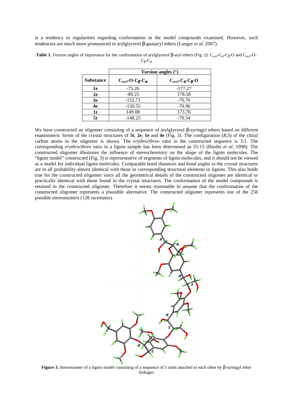is a tendency to regularities regarding conformation in the model compounds examined. However, such tendencies are much more pronounced in arylglycerol β-guaiacyl ethers (Langer *et al*. 2007).

|                  | Torsion angles $(°)$                             |                                                   |
|------------------|--------------------------------------------------|---------------------------------------------------|
| <b>Substance</b> | $C_{\text{aryl}}$ -O- $C_{\beta}$ - $C_{\alpha}$ | $C_{\text{aryl}}$ - $C_{\alpha}$ - $C_{\beta}$ -O |
| 1e               | $-75.26$                                         | $-177.27$                                         |
| 2e               | $-89.25$                                         | 178.58                                            |
| 3e               | $-152.71$                                        | $-70.76$                                          |
| 4e               | $-150.55$                                        | $-70.96$                                          |
| 1t               | 149.08                                           | 173.76                                            |
| 5t               | $-148.25$                                        | $-70.54$                                          |

**Table 1.** Torsion angles of importance for the conformation of arylglycerol β-aryl ethers (Fig. 2): C<sub>aryl</sub>-C<sub>α</sub>-C<sub>β</sub>-O and C<sub>aryl</sub>-O- $C_8$ - $C_\alpha$ 

We have constructed an oligomer consisting of a sequence of arylglycerol β-syringyl ethers based on different enantiomeric forms of the crystal structures of **5t**, **2e**, **1e** and **4e** (Fig. 3). The configuration (*R*,*S*) of the chiral carbon atoms in the oligomer is shown. The *erythro/threo* ratio in the constructed sequence is 3:1. The corresponding *erythro*/*threo* ratio in a lignin sample has been determined as 55:15 (Bardet *et al*. 1998). The constructed oligomer illustrates the influence of stereochemistry on the shape of the lignin molecules. The "lignin model" constructed (Fig. 3) is representative of segments of lignin molecules, and it should not be viewed as a model for individual lignin molecules. Comparable bond distances and bond angles in the crystal structures are in all probability almost identical with those in corresponding structural elements in lignins. This also holds true for the constructed oligomer since all the geometrical details of the constructed oligomer are identical or practically identical with those found in the crystal structures. The conformation of the model compounds is retained in the constructed oligomer. Therefore it seems reasonable to assume that the conformation of the constructed oligomer represents a plausible alternative. The constructed oligomer represents one of the 256 possible stereoisomers (128 racemates).



**Figure 3.** Stereoisomer of a lignin model consisting of a sequence of 5 units attached to each other by β-syringyl ether linkages